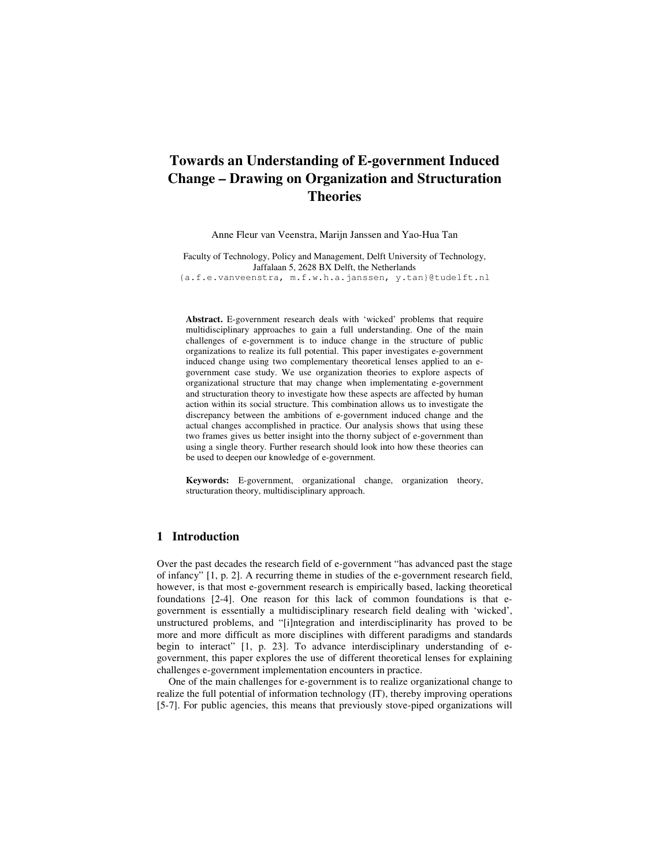# **Towards an Understanding of E-government Induced Change – Drawing on Organization and Structuration Theories**

Anne Fleur van Veenstra, Marijn Janssen and Yao-Hua Tan

Faculty of Technology, Policy and Management, Delft University of Technology, Jaffalaan 5, 2628 BX Delft, the Netherlands

{a.f.e.vanveenstra, m.f.w.h.a.janssen, y.tan}@tudelft.nl

**Abstract.** E-government research deals with 'wicked' problems that require multidisciplinary approaches to gain a full understanding. One of the main challenges of e-government is to induce change in the structure of public organizations to realize its full potential. This paper investigates e-government induced change using two complementary theoretical lenses applied to an egovernment case study. We use organization theories to explore aspects of organizational structure that may change when implementating e-government and structuration theory to investigate how these aspects are affected by human action within its social structure. This combination allows us to investigate the discrepancy between the ambitions of e-government induced change and the actual changes accomplished in practice. Our analysis shows that using these two frames gives us better insight into the thorny subject of e-government than using a single theory. Further research should look into how these theories can be used to deepen our knowledge of e-government.

**Keywords:** E-government, organizational change, organization theory, structuration theory, multidisciplinary approach.

#### **1 Introduction**

Over the past decades the research field of e-government "has advanced past the stage of infancy" [1, p. 2]. A recurring theme in studies of the e-government research field, however, is that most e-government research is empirically based, lacking theoretical foundations [2-4]. One reason for this lack of common foundations is that egovernment is essentially a multidisciplinary research field dealing with 'wicked', unstructured problems, and "[i]ntegration and interdisciplinarity has proved to be more and more difficult as more disciplines with different paradigms and standards begin to interact" [1, p. 23]. To advance interdisciplinary understanding of egovernment, this paper explores the use of different theoretical lenses for explaining challenges e-government implementation encounters in practice.

One of the main challenges for e-government is to realize organizational change to realize the full potential of information technology (IT), thereby improving operations [5-7]. For public agencies, this means that previously stove-piped organizations will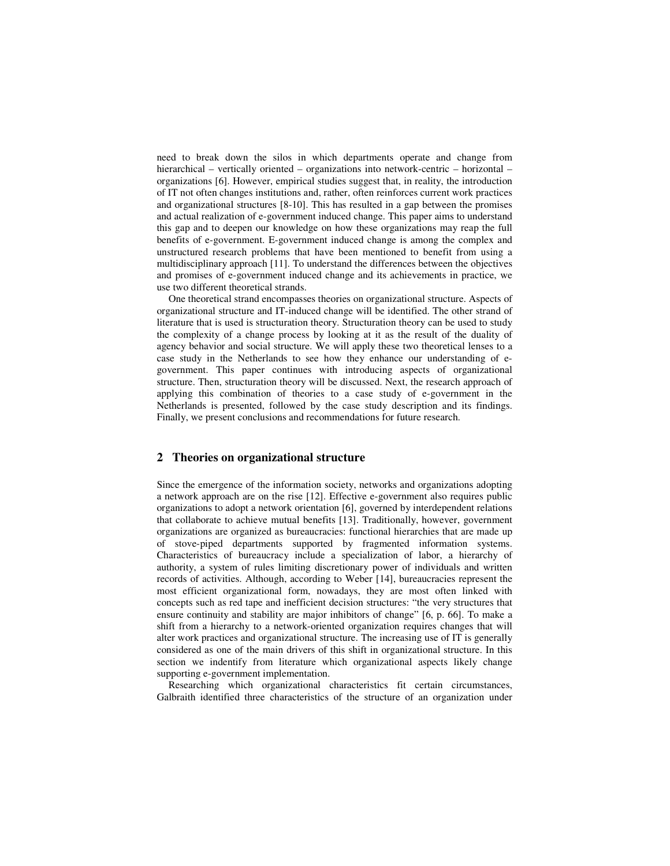need to break down the silos in which departments operate and change from hierarchical – vertically oriented – organizations into network-centric – horizontal – organizations [6]. However, empirical studies suggest that, in reality, the introduction of IT not often changes institutions and, rather, often reinforces current work practices and organizational structures [8-10]. This has resulted in a gap between the promises and actual realization of e-government induced change. This paper aims to understand this gap and to deepen our knowledge on how these organizations may reap the full benefits of e-government. E-government induced change is among the complex and unstructured research problems that have been mentioned to benefit from using a multidisciplinary approach [11]. To understand the differences between the objectives and promises of e-government induced change and its achievements in practice, we use two different theoretical strands.

One theoretical strand encompasses theories on organizational structure. Aspects of organizational structure and IT-induced change will be identified. The other strand of literature that is used is structuration theory. Structuration theory can be used to study the complexity of a change process by looking at it as the result of the duality of agency behavior and social structure. We will apply these two theoretical lenses to a case study in the Netherlands to see how they enhance our understanding of egovernment. This paper continues with introducing aspects of organizational structure. Then, structuration theory will be discussed. Next, the research approach of applying this combination of theories to a case study of e-government in the Netherlands is presented, followed by the case study description and its findings. Finally, we present conclusions and recommendations for future research.

## **2 Theories on organizational structure**

Since the emergence of the information society, networks and organizations adopting a network approach are on the rise [12]. Effective e-government also requires public organizations to adopt a network orientation [6], governed by interdependent relations that collaborate to achieve mutual benefits [13]. Traditionally, however, government organizations are organized as bureaucracies: functional hierarchies that are made up of stove-piped departments supported by fragmented information systems. Characteristics of bureaucracy include a specialization of labor, a hierarchy of authority, a system of rules limiting discretionary power of individuals and written records of activities. Although, according to Weber [14], bureaucracies represent the most efficient organizational form, nowadays, they are most often linked with concepts such as red tape and inefficient decision structures: "the very structures that ensure continuity and stability are major inhibitors of change" [6, p. 66]. To make a shift from a hierarchy to a network-oriented organization requires changes that will alter work practices and organizational structure. The increasing use of IT is generally considered as one of the main drivers of this shift in organizational structure. In this section we indentify from literature which organizational aspects likely change supporting e-government implementation.

Researching which organizational characteristics fit certain circumstances, Galbraith identified three characteristics of the structure of an organization under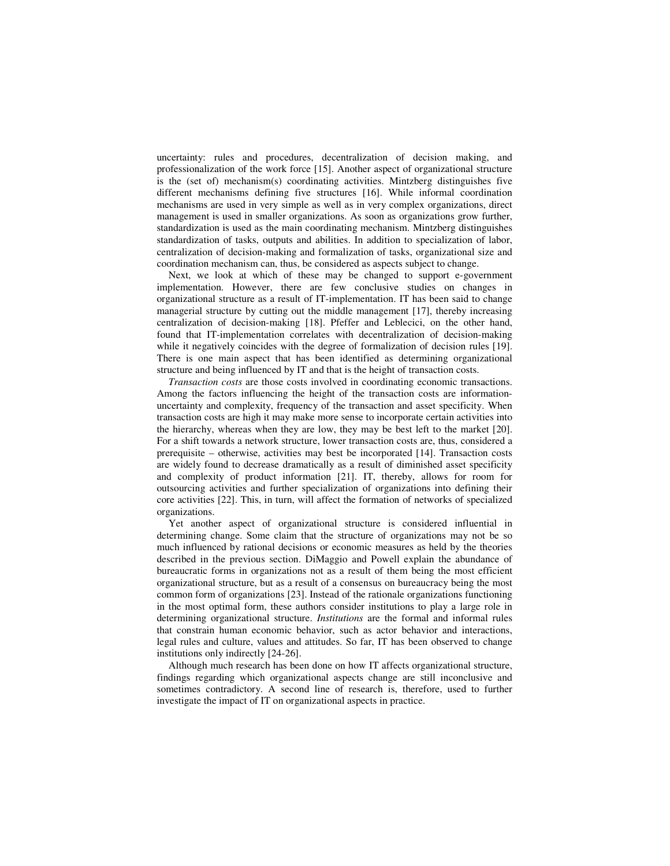uncertainty: rules and procedures, decentralization of decision making, and professionalization of the work force [15]. Another aspect of organizational structure is the (set of) mechanism(s) coordinating activities. Mintzberg distinguishes five different mechanisms defining five structures [16]. While informal coordination mechanisms are used in very simple as well as in very complex organizations, direct management is used in smaller organizations. As soon as organizations grow further, standardization is used as the main coordinating mechanism. Mintzberg distinguishes standardization of tasks, outputs and abilities. In addition to specialization of labor, centralization of decision-making and formalization of tasks, organizational size and coordination mechanism can, thus, be considered as aspects subject to change.

Next, we look at which of these may be changed to support e-government implementation. However, there are few conclusive studies on changes in organizational structure as a result of IT-implementation. IT has been said to change managerial structure by cutting out the middle management [17], thereby increasing centralization of decision-making [18]. Pfeffer and Leblecici, on the other hand, found that IT-implementation correlates with decentralization of decision-making while it negatively coincides with the degree of formalization of decision rules [19]. There is one main aspect that has been identified as determining organizational structure and being influenced by IT and that is the height of transaction costs.

*Transaction costs* are those costs involved in coordinating economic transactions. Among the factors influencing the height of the transaction costs are informationuncertainty and complexity, frequency of the transaction and asset specificity. When transaction costs are high it may make more sense to incorporate certain activities into the hierarchy, whereas when they are low, they may be best left to the market [20]. For a shift towards a network structure, lower transaction costs are, thus, considered a prerequisite – otherwise, activities may best be incorporated [14]. Transaction costs are widely found to decrease dramatically as a result of diminished asset specificity and complexity of product information [21]. IT, thereby, allows for room for outsourcing activities and further specialization of organizations into defining their core activities [22]. This, in turn, will affect the formation of networks of specialized organizations.

Yet another aspect of organizational structure is considered influential in determining change. Some claim that the structure of organizations may not be so much influenced by rational decisions or economic measures as held by the theories described in the previous section. DiMaggio and Powell explain the abundance of bureaucratic forms in organizations not as a result of them being the most efficient organizational structure, but as a result of a consensus on bureaucracy being the most common form of organizations [23]. Instead of the rationale organizations functioning in the most optimal form, these authors consider institutions to play a large role in determining organizational structure. *Institutions* are the formal and informal rules that constrain human economic behavior, such as actor behavior and interactions, legal rules and culture, values and attitudes. So far, IT has been observed to change institutions only indirectly [24-26].

Although much research has been done on how IT affects organizational structure, findings regarding which organizational aspects change are still inconclusive and sometimes contradictory. A second line of research is, therefore, used to further investigate the impact of IT on organizational aspects in practice.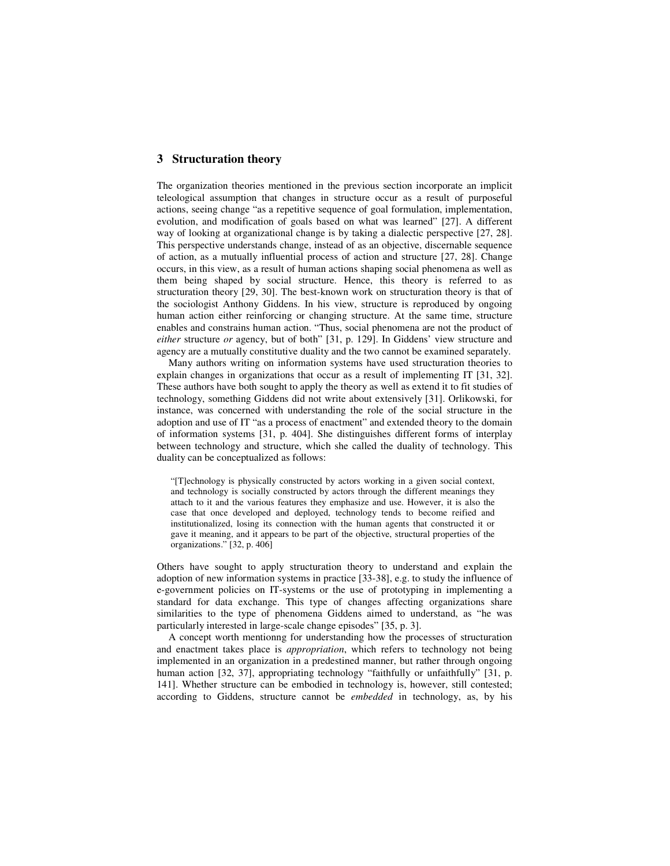# **3 Structuration theory**

The organization theories mentioned in the previous section incorporate an implicit teleological assumption that changes in structure occur as a result of purposeful actions, seeing change "as a repetitive sequence of goal formulation, implementation, evolution, and modification of goals based on what was learned" [27]. A different way of looking at organizational change is by taking a dialectic perspective [27, 28]. This perspective understands change, instead of as an objective, discernable sequence of action, as a mutually influential process of action and structure [27, 28]. Change occurs, in this view, as a result of human actions shaping social phenomena as well as them being shaped by social structure. Hence, this theory is referred to as structuration theory [29, 30]. The best-known work on structuration theory is that of the sociologist Anthony Giddens. In his view, structure is reproduced by ongoing human action either reinforcing or changing structure. At the same time, structure enables and constrains human action. "Thus, social phenomena are not the product of *either* structure *or* agency, but of both" [31, p. 129]. In Giddens' view structure and agency are a mutually constitutive duality and the two cannot be examined separately.

Many authors writing on information systems have used structuration theories to explain changes in organizations that occur as a result of implementing IT [31, 32]. These authors have both sought to apply the theory as well as extend it to fit studies of technology, something Giddens did not write about extensively [31]. Orlikowski, for instance, was concerned with understanding the role of the social structure in the adoption and use of IT "as a process of enactment" and extended theory to the domain of information systems [31, p. 404]. She distinguishes different forms of interplay between technology and structure, which she called the duality of technology. This duality can be conceptualized as follows:

"[T]echnology is physically constructed by actors working in a given social context, and technology is socially constructed by actors through the different meanings they attach to it and the various features they emphasize and use. However, it is also the case that once developed and deployed, technology tends to become reified and institutionalized, losing its connection with the human agents that constructed it or gave it meaning, and it appears to be part of the objective, structural properties of the organizations." [32, p. 406]

Others have sought to apply structuration theory to understand and explain the adoption of new information systems in practice [33-38], e.g. to study the influence of e-government policies on IT-systems or the use of prototyping in implementing a standard for data exchange. This type of changes affecting organizations share similarities to the type of phenomena Giddens aimed to understand, as "he was particularly interested in large-scale change episodes" [35, p. 3].

A concept worth mentionng for understanding how the processes of structuration and enactment takes place is *appropriation*, which refers to technology not being implemented in an organization in a predestined manner, but rather through ongoing human action [32, 37], appropriating technology "faithfully or unfaithfully" [31, p. 141]. Whether structure can be embodied in technology is, however, still contested; according to Giddens, structure cannot be *embedded* in technology, as, by his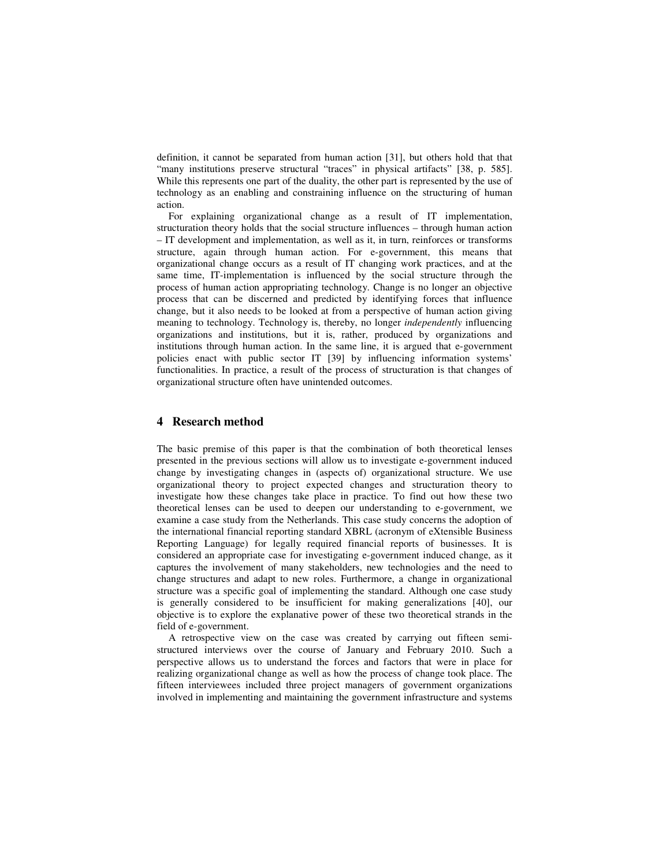definition, it cannot be separated from human action [31], but others hold that that "many institutions preserve structural "traces" in physical artifacts" [38, p. 585]. While this represents one part of the duality, the other part is represented by the use of technology as an enabling and constraining influence on the structuring of human action.

For explaining organizational change as a result of IT implementation, structuration theory holds that the social structure influences – through human action – IT development and implementation, as well as it, in turn, reinforces or transforms structure, again through human action. For e-government, this means that organizational change occurs as a result of IT changing work practices, and at the same time, IT-implementation is influenced by the social structure through the process of human action appropriating technology. Change is no longer an objective process that can be discerned and predicted by identifying forces that influence change, but it also needs to be looked at from a perspective of human action giving meaning to technology. Technology is, thereby, no longer *independently* influencing organizations and institutions, but it is, rather, produced by organizations and institutions through human action. In the same line, it is argued that e-government policies enact with public sector IT [39] by influencing information systems' functionalities. In practice, a result of the process of structuration is that changes of organizational structure often have unintended outcomes.

#### **4 Research method**

The basic premise of this paper is that the combination of both theoretical lenses presented in the previous sections will allow us to investigate e-government induced change by investigating changes in (aspects of) organizational structure. We use organizational theory to project expected changes and structuration theory to investigate how these changes take place in practice. To find out how these two theoretical lenses can be used to deepen our understanding to e-government, we examine a case study from the Netherlands. This case study concerns the adoption of the international financial reporting standard XBRL (acronym of eXtensible Business Reporting Language) for legally required financial reports of businesses. It is considered an appropriate case for investigating e-government induced change, as it captures the involvement of many stakeholders, new technologies and the need to change structures and adapt to new roles. Furthermore, a change in organizational structure was a specific goal of implementing the standard. Although one case study is generally considered to be insufficient for making generalizations [40], our objective is to explore the explanative power of these two theoretical strands in the field of e-government.

A retrospective view on the case was created by carrying out fifteen semistructured interviews over the course of January and February 2010. Such a perspective allows us to understand the forces and factors that were in place for realizing organizational change as well as how the process of change took place. The fifteen interviewees included three project managers of government organizations involved in implementing and maintaining the government infrastructure and systems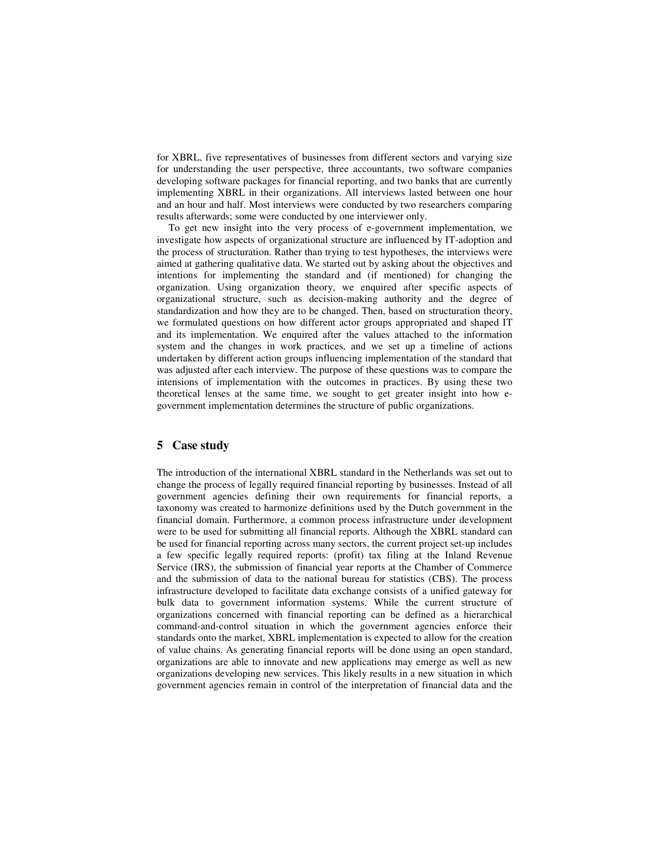for XBRL, five representatives of businesses from different sectors and varying size for understanding the user perspective, three accountants, two software companies developing software packages for financial reporting, and two banks that are currently implementing XBRL in their organizations. All interviews lasted between one hour and an hour and half. Most interviews were conducted by two researchers comparing results afterwards; some were conducted by one interviewer only.

To get new insight into the very process of e-government implementation, we investigate how aspects of organizational structure are influenced by IT-adoption and the process of structuration. Rather than trying to test hypotheses, the interviews were aimed at gathering qualitative data. We started out by asking about the objectives and intentions for implementing the standard and (if mentioned) for changing the organization. Using organization theory, we enquired after specific aspects of organizational structure, such as decision-making authority and the degree of standardization and how they are to be changed. Then, based on structuration theory, we formulated questions on how different actor groups appropriated and shaped IT and its implementation. We enquired after the values attached to the information system and the changes in work practices, and we set up a timeline of actions undertaken by different action groups influencing implementation of the standard that was adjusted after each interview. The purpose of these questions was to compare the intensions of implementation with the outcomes in practices. By using these two theoretical lenses at the same time, we sought to get greater insight into how egovernment implementation determines the structure of public organizations.

#### **5 Case study**

The introduction of the international XBRL standard in the Netherlands was set out to change the process of legally required financial reporting by businesses. Instead of all government agencies defining their own requirements for financial reports, a taxonomy was created to harmonize definitions used by the Dutch government in the financial domain. Furthermore, a common process infrastructure under development were to be used for submitting all financial reports. Although the XBRL standard can be used for financial reporting across many sectors, the current project set-up includes a few specific legally required reports: (profit) tax filing at the Inland Revenue Service (IRS), the submission of financial year reports at the Chamber of Commerce and the submission of data to the national bureau for statistics (CBS). The process infrastructure developed to facilitate data exchange consists of a unified gateway for bulk data to government information systems. While the current structure of organizations concerned with financial reporting can be defined as a hierarchical command-and-control situation in which the government agencies enforce their standards onto the market, XBRL implementation is expected to allow for the creation of value chains. As generating financial reports will be done using an open standard, organizations are able to innovate and new applications may emerge as well as new organizations developing new services. This likely results in a new situation in which government agencies remain in control of the interpretation of financial data and the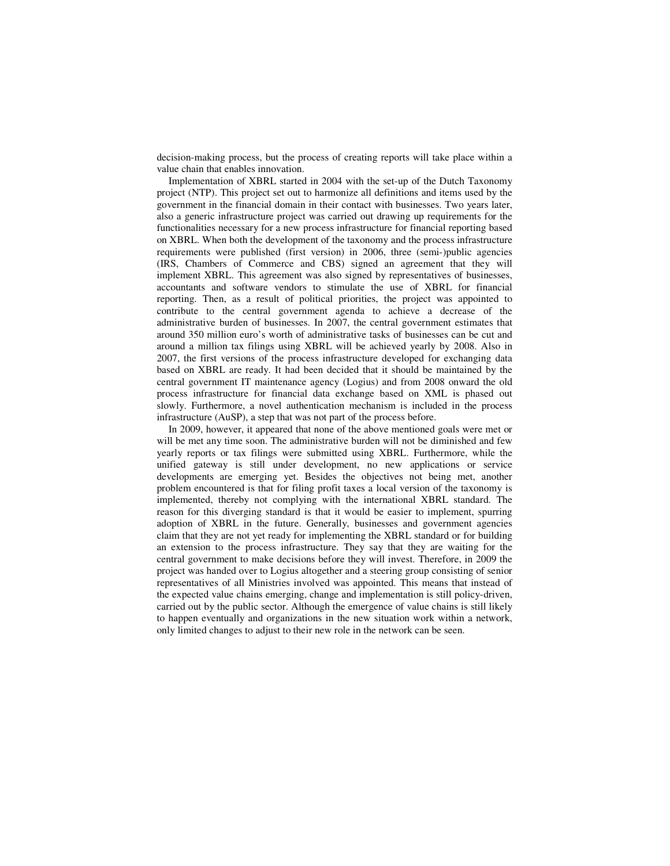decision-making process, but the process of creating reports will take place within a value chain that enables innovation.

Implementation of XBRL started in 2004 with the set-up of the Dutch Taxonomy project (NTP). This project set out to harmonize all definitions and items used by the government in the financial domain in their contact with businesses. Two years later, also a generic infrastructure project was carried out drawing up requirements for the functionalities necessary for a new process infrastructure for financial reporting based on XBRL. When both the development of the taxonomy and the process infrastructure requirements were published (first version) in 2006, three (semi-)public agencies (IRS, Chambers of Commerce and CBS) signed an agreement that they will implement XBRL. This agreement was also signed by representatives of businesses, accountants and software vendors to stimulate the use of XBRL for financial reporting. Then, as a result of political priorities, the project was appointed to contribute to the central government agenda to achieve a decrease of the administrative burden of businesses. In 2007, the central government estimates that around 350 million euro's worth of administrative tasks of businesses can be cut and around a million tax filings using XBRL will be achieved yearly by 2008. Also in 2007, the first versions of the process infrastructure developed for exchanging data based on XBRL are ready. It had been decided that it should be maintained by the central government IT maintenance agency (Logius) and from 2008 onward the old process infrastructure for financial data exchange based on XML is phased out slowly. Furthermore, a novel authentication mechanism is included in the process infrastructure (AuSP), a step that was not part of the process before.

In 2009, however, it appeared that none of the above mentioned goals were met or will be met any time soon. The administrative burden will not be diminished and few yearly reports or tax filings were submitted using XBRL. Furthermore, while the unified gateway is still under development, no new applications or service developments are emerging yet. Besides the objectives not being met, another problem encountered is that for filing profit taxes a local version of the taxonomy is implemented, thereby not complying with the international XBRL standard. The reason for this diverging standard is that it would be easier to implement, spurring adoption of XBRL in the future. Generally, businesses and government agencies claim that they are not yet ready for implementing the XBRL standard or for building an extension to the process infrastructure. They say that they are waiting for the central government to make decisions before they will invest. Therefore, in 2009 the project was handed over to Logius altogether and a steering group consisting of senior representatives of all Ministries involved was appointed. This means that instead of the expected value chains emerging, change and implementation is still policy-driven, carried out by the public sector. Although the emergence of value chains is still likely to happen eventually and organizations in the new situation work within a network, only limited changes to adjust to their new role in the network can be seen.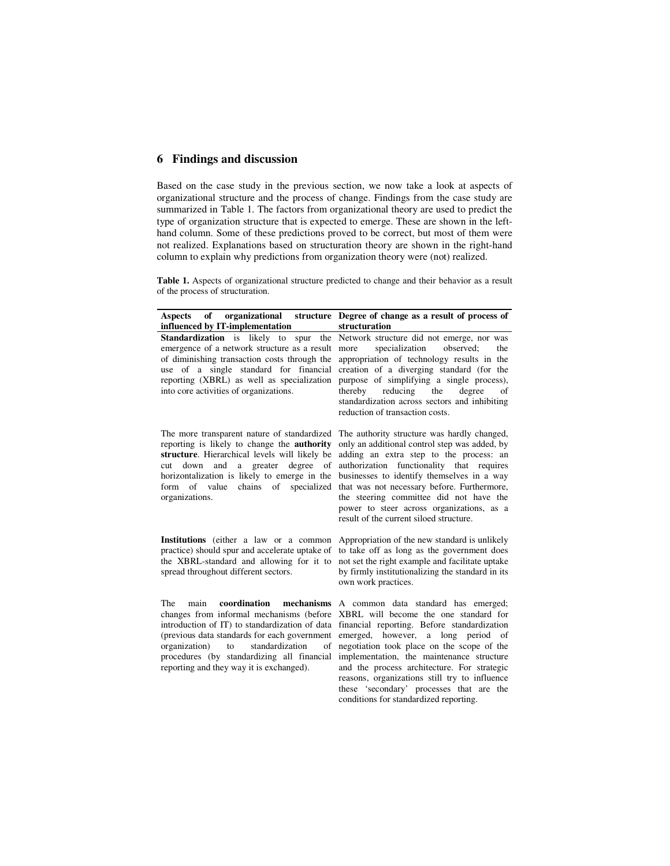# **6 Findings and discussion**

Based on the case study in the previous section, we now take a look at aspects of organizational structure and the process of change. Findings from the case study are summarized in Table 1. The factors from organizational theory are used to predict the type of organization structure that is expected to emerge. These are shown in the lefthand column. Some of these predictions proved to be correct, but most of them were not realized. Explanations based on structuration theory are shown in the right-hand column to explain why predictions from organization theory were (not) realized.

**Table 1.** Aspects of organizational structure predicted to change and their behavior as a result of the process of structuration.

| <b>Aspects</b><br>of                                                                                                                                                                                                                                                                                                           | organizational structure Degree of change as a result of process of                                                                                                                                                                                                                                                                                                                                                                                |
|--------------------------------------------------------------------------------------------------------------------------------------------------------------------------------------------------------------------------------------------------------------------------------------------------------------------------------|----------------------------------------------------------------------------------------------------------------------------------------------------------------------------------------------------------------------------------------------------------------------------------------------------------------------------------------------------------------------------------------------------------------------------------------------------|
| influenced by IT-implementation                                                                                                                                                                                                                                                                                                | structuration                                                                                                                                                                                                                                                                                                                                                                                                                                      |
| Standardization is likely to spur<br>the<br>emergence of a network structure as a result<br>of diminishing transaction costs through the<br>use of a single standard for financial<br>reporting (XBRL) as well as specialization<br>into core activities of organizations.                                                     | Network structure did not emerge, nor was<br>specialization<br>observed;<br>more<br>the<br>appropriation of technology results in the<br>creation of a diverging standard (for the<br>purpose of simplifying a single process),<br>reducing<br>degree<br>thereby<br>the<br>of<br>standardization across sectors and inhibiting<br>reduction of transaction costs.                                                                                  |
| The more transparent nature of standardized<br>reporting is likely to change the <b>authority</b><br>structure. Hierarchical levels will likely be<br>down<br>and<br>a greater<br>degree<br>of<br>cut<br>horizontalization is likely to emerge in the<br>chains of<br>specialized<br>of value<br>form<br>organizations.        | The authority structure was hardly changed,<br>only an additional control step was added, by<br>adding an extra step to the process: an<br>authorization functionality that requires<br>businesses to identify themselves in a way<br>that was not necessary before. Furthermore,<br>the steering committee did not have the<br>power to steer across organizations, as a<br>result of the current siloed structure.                               |
| Institutions (either a law or a common<br>practice) should spur and accelerate uptake of<br>the XBRL-standard and allowing for it to<br>spread throughout different sectors.                                                                                                                                                   | Appropriation of the new standard is unlikely<br>to take off as long as the government does<br>not set the right example and facilitate uptake<br>by firmly institutionalizing the standard in its<br>own work practices.                                                                                                                                                                                                                          |
| coordination mechanisms<br>The<br>main<br>changes from informal mechanisms (before<br>introduction of IT) to standardization of data<br>(previous data standards for each government<br>organization)<br>to<br>standardization<br>of<br>procedures (by standardizing all financial<br>reporting and they way it is exchanged). | A common data standard has emerged;<br>XBRL will become the one standard for<br>financial reporting. Before standardization<br>emerged, however, a long period of<br>negotiation took place on the scope of the<br>implementation, the maintenance structure<br>and the process architecture. For strategic<br>reasons, organizations still try to influence<br>these 'secondary' processes that are the<br>conditions for standardized reporting. |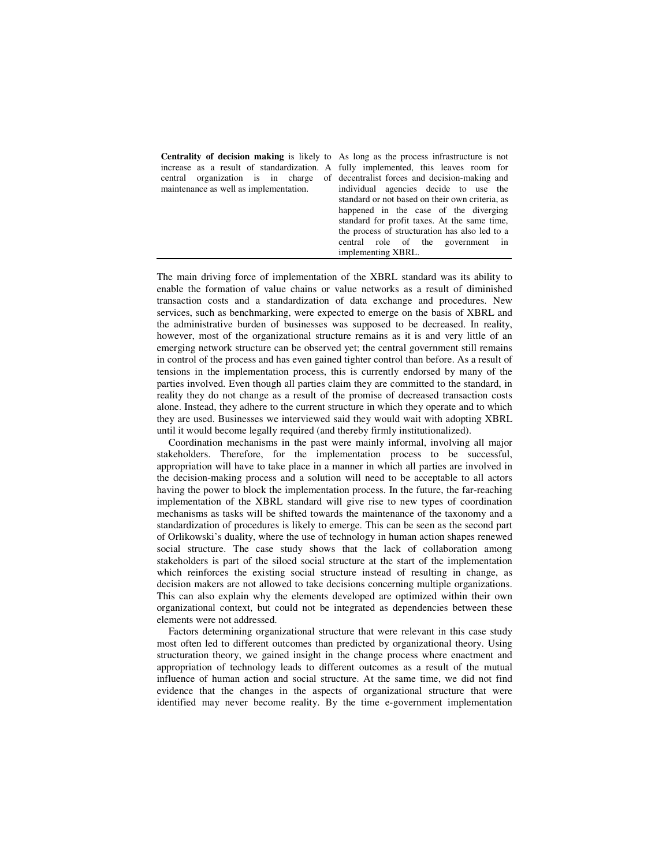|                                        | <b>Centrality of decision making</b> is likely to As long as the process infrastructure is not |
|----------------------------------------|------------------------------------------------------------------------------------------------|
|                                        | increase as a result of standardization. A fully implemented, this leaves room for             |
|                                        | central organization is in charge of decentralist forces and decision-making and               |
| maintenance as well as implementation. | individual agencies decide to use the                                                          |
|                                        | standard or not based on their own criteria, as                                                |
|                                        | happened in the case of the diverging                                                          |
|                                        | standard for profit taxes. At the same time,                                                   |
|                                        | the process of structuration has also led to a                                                 |
|                                        | central role of the government in                                                              |
|                                        | implementing XBRL.                                                                             |

The main driving force of implementation of the XBRL standard was its ability to enable the formation of value chains or value networks as a result of diminished transaction costs and a standardization of data exchange and procedures. New services, such as benchmarking, were expected to emerge on the basis of XBRL and the administrative burden of businesses was supposed to be decreased. In reality, however, most of the organizational structure remains as it is and very little of an emerging network structure can be observed yet; the central government still remains in control of the process and has even gained tighter control than before. As a result of tensions in the implementation process, this is currently endorsed by many of the parties involved. Even though all parties claim they are committed to the standard, in reality they do not change as a result of the promise of decreased transaction costs alone. Instead, they adhere to the current structure in which they operate and to which they are used. Businesses we interviewed said they would wait with adopting XBRL until it would become legally required (and thereby firmly institutionalized).

Coordination mechanisms in the past were mainly informal, involving all major stakeholders. Therefore, for the implementation process to be successful, appropriation will have to take place in a manner in which all parties are involved in the decision-making process and a solution will need to be acceptable to all actors having the power to block the implementation process. In the future, the far-reaching implementation of the XBRL standard will give rise to new types of coordination mechanisms as tasks will be shifted towards the maintenance of the taxonomy and a standardization of procedures is likely to emerge. This can be seen as the second part of Orlikowski's duality, where the use of technology in human action shapes renewed social structure. The case study shows that the lack of collaboration among stakeholders is part of the siloed social structure at the start of the implementation which reinforces the existing social structure instead of resulting in change, as decision makers are not allowed to take decisions concerning multiple organizations. This can also explain why the elements developed are optimized within their own organizational context, but could not be integrated as dependencies between these elements were not addressed.

Factors determining organizational structure that were relevant in this case study most often led to different outcomes than predicted by organizational theory. Using structuration theory, we gained insight in the change process where enactment and appropriation of technology leads to different outcomes as a result of the mutual influence of human action and social structure. At the same time, we did not find evidence that the changes in the aspects of organizational structure that were identified may never become reality. By the time e-government implementation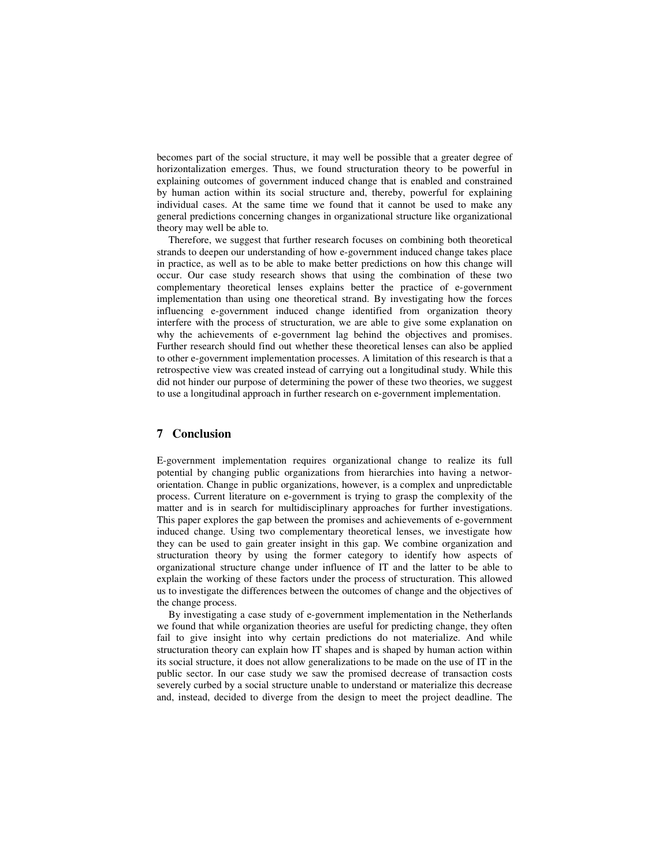becomes part of the social structure, it may well be possible that a greater degree of horizontalization emerges. Thus, we found structuration theory to be powerful in explaining outcomes of government induced change that is enabled and constrained by human action within its social structure and, thereby, powerful for explaining individual cases. At the same time we found that it cannot be used to make any general predictions concerning changes in organizational structure like organizational theory may well be able to.

Therefore, we suggest that further research focuses on combining both theoretical strands to deepen our understanding of how e-government induced change takes place in practice, as well as to be able to make better predictions on how this change will occur. Our case study research shows that using the combination of these two complementary theoretical lenses explains better the practice of e-government implementation than using one theoretical strand. By investigating how the forces influencing e-government induced change identified from organization theory interfere with the process of structuration, we are able to give some explanation on why the achievements of e-government lag behind the objectives and promises. Further research should find out whether these theoretical lenses can also be applied to other e-government implementation processes. A limitation of this research is that a retrospective view was created instead of carrying out a longitudinal study. While this did not hinder our purpose of determining the power of these two theories, we suggest to use a longitudinal approach in further research on e-government implementation.

#### **7 Conclusion**

E-government implementation requires organizational change to realize its full potential by changing public organizations from hierarchies into having a networorientation. Change in public organizations, however, is a complex and unpredictable process. Current literature on e-government is trying to grasp the complexity of the matter and is in search for multidisciplinary approaches for further investigations. This paper explores the gap between the promises and achievements of e-government induced change. Using two complementary theoretical lenses, we investigate how they can be used to gain greater insight in this gap. We combine organization and structuration theory by using the former category to identify how aspects of organizational structure change under influence of IT and the latter to be able to explain the working of these factors under the process of structuration. This allowed us to investigate the differences between the outcomes of change and the objectives of the change process.

By investigating a case study of e-government implementation in the Netherlands we found that while organization theories are useful for predicting change, they often fail to give insight into why certain predictions do not materialize. And while structuration theory can explain how IT shapes and is shaped by human action within its social structure, it does not allow generalizations to be made on the use of IT in the public sector. In our case study we saw the promised decrease of transaction costs severely curbed by a social structure unable to understand or materialize this decrease and, instead, decided to diverge from the design to meet the project deadline. The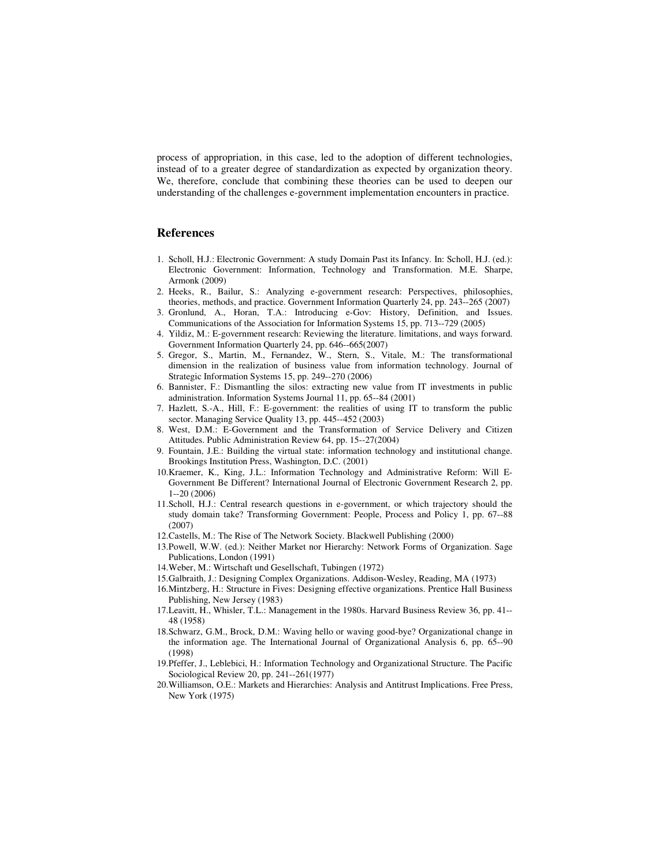process of appropriation, in this case, led to the adoption of different technologies, instead of to a greater degree of standardization as expected by organization theory. We, therefore, conclude that combining these theories can be used to deepen our understanding of the challenges e-government implementation encounters in practice.

## **References**

- 1. Scholl, H.J.: Electronic Government: A study Domain Past its Infancy. In: Scholl, H.J. (ed.): Electronic Government: Information, Technology and Transformation. M.E. Sharpe, Armonk (2009)
- 2. Heeks, R., Bailur, S.: Analyzing e-government research: Perspectives, philosophies, theories, methods, and practice. Government Information Quarterly 24, pp. 243--265 (2007)
- 3. Gronlund, A., Horan, T.A.: Introducing e-Gov: History, Definition, and Issues. Communications of the Association for Information Systems 15, pp. 713--729 (2005)
- 4. Yildiz, M.: E-government research: Reviewing the literature. limitations, and ways forward. Government Information Quarterly 24, pp. 646--665(2007)
- 5. Gregor, S., Martin, M., Fernandez, W., Stern, S., Vitale, M.: The transformational dimension in the realization of business value from information technology. Journal of Strategic Information Systems 15, pp. 249--270 (2006)
- 6. Bannister, F.: Dismantling the silos: extracting new value from IT investments in public administration. Information Systems Journal 11, pp. 65--84 (2001)
- 7. Hazlett, S.-A., Hill, F.: E-government: the realities of using IT to transform the public sector. Managing Service Quality 13, pp. 445--452 (2003)
- 8. West, D.M.: E-Government and the Transformation of Service Delivery and Citizen Attitudes. Public Administration Review 64, pp. 15--27(2004)
- 9. Fountain, J.E.: Building the virtual state: information technology and institutional change. Brookings Institution Press, Washington, D.C. (2001)
- 10.Kraemer, K., King, J.L.: Information Technology and Administrative Reform: Will E-Government Be Different? International Journal of Electronic Government Research 2, pp. 1--20 (2006)
- 11.Scholl, H.J.: Central research questions in e-government, or which trajectory should the study domain take? Transforming Government: People, Process and Policy 1, pp. 67--88 (2007)
- 12.Castells, M.: The Rise of The Network Society. Blackwell Publishing (2000)
- 13.Powell, W.W. (ed.): Neither Market nor Hierarchy: Network Forms of Organization. Sage Publications, London (1991)
- 14.Weber, M.: Wirtschaft und Gesellschaft, Tubingen (1972)
- 15.Galbraith, J.: Designing Complex Organizations. Addison-Wesley, Reading, MA (1973)
- 16.Mintzberg, H.: Structure in Fives: Designing effective organizations. Prentice Hall Business Publishing, New Jersey (1983)
- 17.Leavitt, H., Whisler, T.L.: Management in the 1980s. Harvard Business Review 36, pp. 41-- 48 (1958)
- 18.Schwarz, G.M., Brock, D.M.: Waving hello or waving good-bye? Organizational change in the information age. The International Journal of Organizational Analysis 6, pp. 65--90 (1998)
- 19.Pfeffer, J., Leblebici, H.: Information Technology and Organizational Structure. The Pacific Sociological Review 20, pp. 241--261(1977)
- 20.Williamson, O.E.: Markets and Hierarchies: Analysis and Antitrust Implications. Free Press, New York (1975)